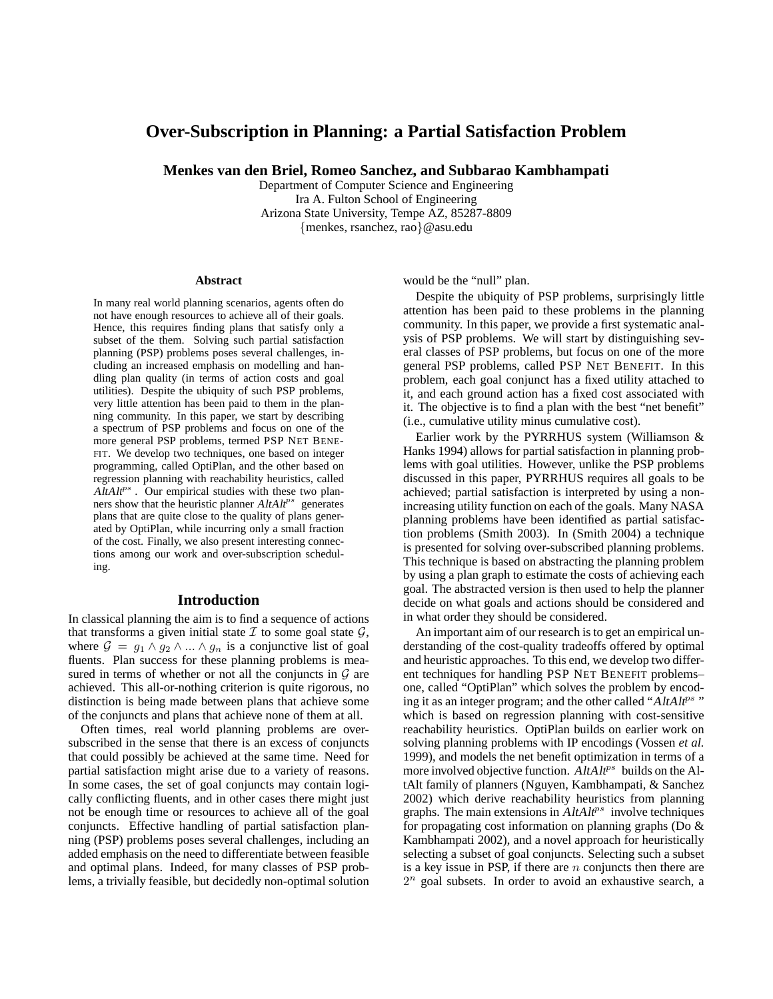# **Over-Subscription in Planning: a Partial Satisfaction Problem**

**Menkes van den Briel, Romeo Sanchez, and Subbarao Kambhampati**

Department of Computer Science and Engineering Ira A. Fulton School of Engineering Arizona State University, Tempe AZ, 85287-8809 {menkes, rsanchez, rao}@asu.edu

#### **Abstract**

In many real world planning scenarios, agents often do not have enough resources to achieve all of their goals. Hence, this requires finding plans that satisfy only a subset of the them. Solving such partial satisfaction planning (PSP) problems poses several challenges, including an increased emphasis on modelling and handling plan quality (in terms of action costs and goal utilities). Despite the ubiquity of such PSP problems, very little attention has been paid to them in the planning community. In this paper, we start by describing a spectrum of PSP problems and focus on one of the more general PSP problems, termed PSP NET BENE-FIT. We develop two techniques, one based on integer programming, called OptiPlan, and the other based on regression planning with reachability heuristics, called  $A$ It $A$ It<sup>ps</sup>. Our empirical studies with these two planners show that the heuristic planner  $AltAlt^{ps}$  generates plans that are quite close to the quality of plans generated by OptiPlan, while incurring only a small fraction of the cost. Finally, we also present interesting connections among our work and over-subscription scheduling.

### **Introduction**

In classical planning the aim is to find a sequence of actions that transforms a given initial state  $\mathcal I$  to some goal state  $\mathcal G$ , where  $G = g_1 \wedge g_2 \wedge ... \wedge g_n$  is a conjunctive list of goal fluents. Plan success for these planning problems is measured in terms of whether or not all the conjuncts in  $G$  are achieved. This all-or-nothing criterion is quite rigorous, no distinction is being made between plans that achieve some of the conjuncts and plans that achieve none of them at all.

Often times, real world planning problems are oversubscribed in the sense that there is an excess of conjuncts that could possibly be achieved at the same time. Need for partial satisfaction might arise due to a variety of reasons. In some cases, the set of goal conjuncts may contain logically conflicting fluents, and in other cases there might just not be enough time or resources to achieve all of the goal conjuncts. Effective handling of partial satisfaction planning (PSP) problems poses several challenges, including an added emphasis on the need to differentiate between feasible and optimal plans. Indeed, for many classes of PSP problems, a trivially feasible, but decidedly non-optimal solution would be the "null" plan.

Despite the ubiquity of PSP problems, surprisingly little attention has been paid to these problems in the planning community. In this paper, we provide a first systematic analysis of PSP problems. We will start by distinguishing several classes of PSP problems, but focus on one of the more general PSP problems, called PSP NET BENEFIT. In this problem, each goal conjunct has a fixed utility attached to it, and each ground action has a fixed cost associated with it. The objective is to find a plan with the best "net benefit" (i.e., cumulative utility minus cumulative cost).

Earlier work by the PYRRHUS system (Williamson & Hanks 1994) allows for partial satisfaction in planning problems with goal utilities. However, unlike the PSP problems discussed in this paper, PYRRHUS requires all goals to be achieved; partial satisfaction is interpreted by using a nonincreasing utility function on each of the goals. Many NASA planning problems have been identified as partial satisfaction problems (Smith 2003). In (Smith 2004) a technique is presented for solving over-subscribed planning problems. This technique is based on abstracting the planning problem by using a plan graph to estimate the costs of achieving each goal. The abstracted version is then used to help the planner decide on what goals and actions should be considered and in what order they should be considered.

An important aim of our research is to get an empirical understanding of the cost-quality tradeoffs offered by optimal and heuristic approaches. To this end, we develop two different techniques for handling PSP NET BENEFIT problems– one, called "OptiPlan" which solves the problem by encoding it as an integer program; and the other called "AltAlt<sup>ps</sup>" which is based on regression planning with cost-sensitive reachability heuristics. OptiPlan builds on earlier work on solving planning problems with IP encodings (Vossen *et al.* 1999), and models the net benefit optimization in terms of a more involved objective function. AltAl $t^{ps}$  builds on the AltAlt family of planners (Nguyen, Kambhampati, & Sanchez 2002) which derive reachability heuristics from planning graphs. The main extensions in  $AltAlt^{ps}$  involve techniques for propagating cost information on planning graphs (Do & Kambhampati 2002), and a novel approach for heuristically selecting a subset of goal conjuncts. Selecting such a subset is a key issue in PSP, if there are  $n$  conjuncts then there are  $2^n$  goal subsets. In order to avoid an exhaustive search, a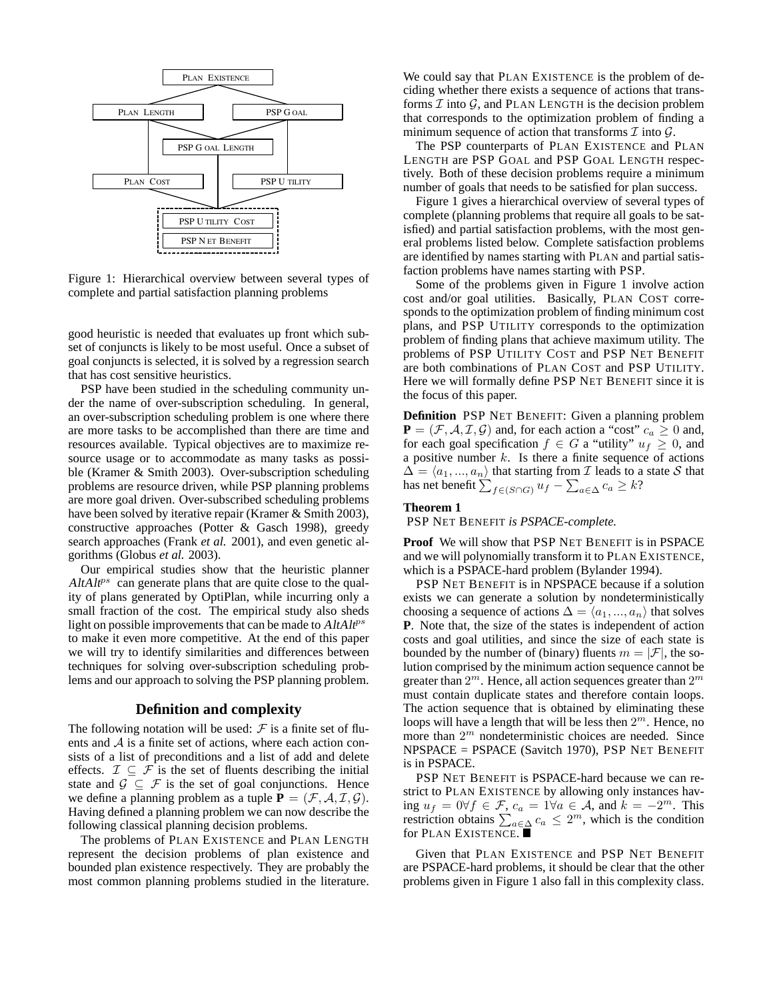

Figure 1: Hierarchical overview between several types of complete and partial satisfaction planning problems

good heuristic is needed that evaluates up front which subset of conjuncts is likely to be most useful. Once a subset of goal conjuncts is selected, it is solved by a regression search that has cost sensitive heuristics.

PSP have been studied in the scheduling community under the name of over-subscription scheduling. In general, an over-subscription scheduling problem is one where there are more tasks to be accomplished than there are time and resources available. Typical objectives are to maximize resource usage or to accommodate as many tasks as possible (Kramer & Smith 2003). Over-subscription scheduling problems are resource driven, while PSP planning problems are more goal driven. Over-subscribed scheduling problems have been solved by iterative repair (Kramer & Smith 2003), constructive approaches (Potter & Gasch 1998), greedy search approaches (Frank *et al.* 2001), and even genetic algorithms (Globus *et al.* 2003).

Our empirical studies show that the heuristic planner  $AltAlt^{ps}$  can generate plans that are quite close to the quality of plans generated by OptiPlan, while incurring only a small fraction of the cost. The empirical study also sheds light on possible improvements that can be made to AltAlt<sup>ps</sup> to make it even more competitive. At the end of this paper we will try to identify similarities and differences between techniques for solving over-subscription scheduling problems and our approach to solving the PSP planning problem.

## **Definition and complexity**

The following notation will be used:  $\mathcal F$  is a finite set of fluents and  $A$  is a finite set of actions, where each action consists of a list of preconditions and a list of add and delete effects.  $\mathcal{I} \subseteq \mathcal{F}$  is the set of fluents describing the initial state and  $\mathcal{G} \subseteq \mathcal{F}$  is the set of goal conjunctions. Hence we define a planning problem as a tuple  $P = (\mathcal{F}, \mathcal{A}, \mathcal{I}, \mathcal{G})$ . Having defined a planning problem we can now describe the following classical planning decision problems.

The problems of PLAN EXISTENCE and PLAN LENGTH represent the decision problems of plan existence and bounded plan existence respectively. They are probably the most common planning problems studied in the literature.

We could say that PLAN EXISTENCE is the problem of deciding whether there exists a sequence of actions that transforms  $\mathcal I$  into  $\mathcal G$ , and PLAN LENGTH is the decision problem that corresponds to the optimization problem of finding a minimum sequence of action that transforms  $\mathcal I$  into  $\mathcal G$ .

The PSP counterparts of PLAN EXISTENCE and PLAN LENGTH are PSP GOAL and PSP GOAL LENGTH respectively. Both of these decision problems require a minimum number of goals that needs to be satisfied for plan success.

Figure 1 gives a hierarchical overview of several types of complete (planning problems that require all goals to be satisfied) and partial satisfaction problems, with the most general problems listed below. Complete satisfaction problems are identified by names starting with PLAN and partial satisfaction problems have names starting with PSP.

Some of the problems given in Figure 1 involve action cost and/or goal utilities. Basically, PLAN COST corresponds to the optimization problem of finding minimum cost plans, and PSP UTILITY corresponds to the optimization problem of finding plans that achieve maximum utility. The problems of PSP UTILITY COST and PSP NET BENEFIT are both combinations of PLAN COST and PSP UTILITY. Here we will formally define PSP NET BENEFIT since it is the focus of this paper.

**Definition** PSP NET BENEFIT: Given a planning problem  ${\bf P} = (\mathcal{F}, \mathcal{A}, \mathcal{I}, \mathcal{G})$  and, for each action a "cost"  $c_a \geq 0$  and, for each goal specification  $f \in G$  a "utility"  $u_f \geq 0$ , and a positive number  $k$ . Is there a finite sequence of actions  $\Delta = \langle a_1, ..., a_n \rangle$  that starting from  $\mathcal I$  leads to a state  $\mathcal S$  that has net benefit  $\sum_{f \in (S \cap G)} u_f - \sum_{a \in \Delta} c_a \geq k$ ?

#### **Theorem 1**

PSP NET BENEFIT *is PSPACE-complete.*

**Proof** We will show that PSP NET BENEFIT is in PSPACE and we will polynomially transform it to PLAN EXISTENCE, which is a PSPACE-hard problem (Bylander 1994).

PSP NET BENEFIT is in NPSPACE because if a solution exists we can generate a solution by nondeterministically choosing a sequence of actions  $\Delta = \langle a_1, ..., a_n \rangle$  that solves **P**. Note that, the size of the states is independent of action costs and goal utilities, and since the size of each state is bounded by the number of (binary) fluents  $m = |\mathcal{F}|$ , the solution comprised by the minimum action sequence cannot be greater than  $2^m$ . Hence, all action sequences greater than  $2^m$ must contain duplicate states and therefore contain loops. The action sequence that is obtained by eliminating these loops will have a length that will be less then  $2^m$ . Hence, no more than  $2^m$  nondeterministic choices are needed. Since NPSPACE = PSPACE (Savitch 1970), PSP NET BENEFIT is in PSPACE.

PSP NET BENEFIT is PSPACE-hard because we can restrict to PLAN EXISTENCE by allowing only instances having  $u_f = 0 \forall f \in \mathcal{F}$ ,  $c_a = 1 \forall a \in \mathcal{A}$ , and  $k = -2^m$ . This restriction obtains  $\sum_{a \in \Delta} c_a \leq 2^m$ , which is the condition for PLAN EXISTENCE.

Given that PLAN EXISTENCE and PSP NET BENEFIT are PSPACE-hard problems, it should be clear that the other problems given in Figure 1 also fall in this complexity class.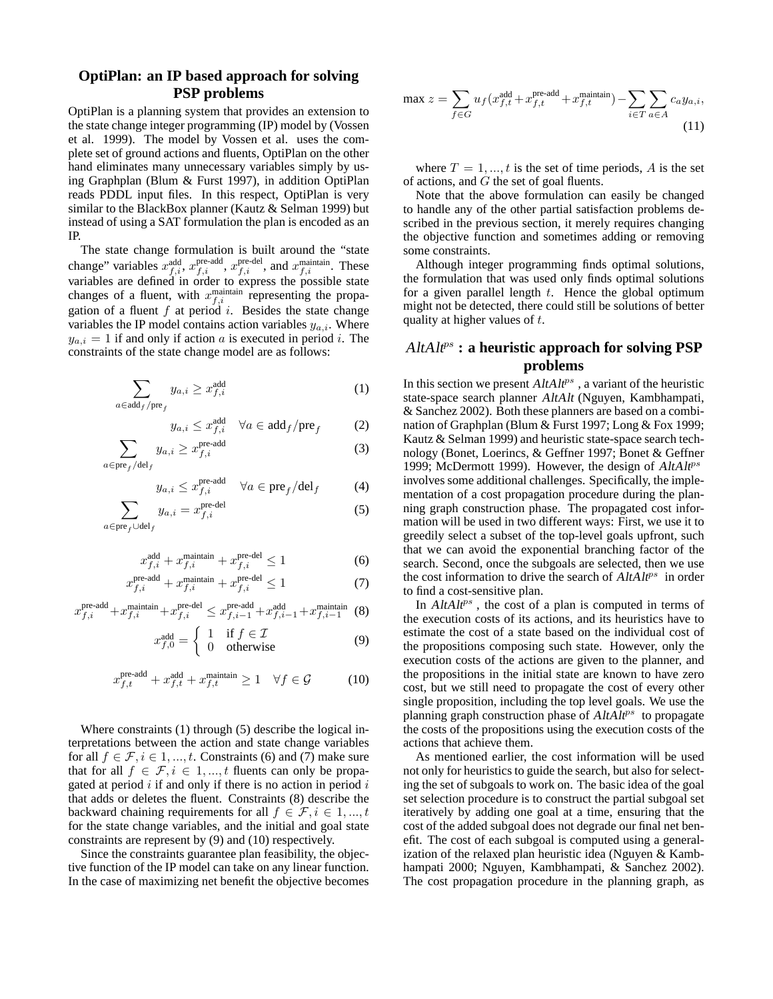# **OptiPlan: an IP based approach for solving PSP problems**

OptiPlan is a planning system that provides an extension to the state change integer programming (IP) model by (Vossen et al. 1999). The model by Vossen et al. uses the complete set of ground actions and fluents, OptiPlan on the other hand eliminates many unnecessary variables simply by using Graphplan (Blum & Furst 1997), in addition OptiPlan reads PDDL input files. In this respect, OptiPlan is very similar to the BlackBox planner (Kautz & Selman 1999) but instead of using a SAT formulation the plan is encoded as an IP.

The state change formulation is built around the "state change" variables  $x_{f,i}^{\text{add}}, x_{f,i}^{\text{pre-add}}, x_{f,i}^{\text{pre-del}}, \text{ and } x_{f,i}^{\text{maintain}}$ . These variables are defined in order to express the possible state changes of a fluent, with  $x_{f,i}^{\text{maintain}}$  representing the propagation of a fluent  $f$  at period  $i$ . Besides the state change variables the IP model contains action variables  $y_{a,i}$ . Where  $y_{a,i} = 1$  if and only if action a is executed in period i. The constraints of the state change model are as follows:

$$
\sum_{a \in \text{add}_f/\text{pre}_f} y_{a,i} \ge x_{f,i}^{\text{add}} \tag{1}
$$

$$
y_{a,i} \le x_{f,i}^{\text{add}} \quad \forall a \in \text{add}_f / \text{pre}_f \tag{2}
$$

$$
\sum_{a \in \text{pre}_f/\text{del}_f} y_{a,i} \ge x_{f,i}^{\text{pre-add}} \tag{3}
$$

$$
y_{a,i} \le x_{f,i}^{\text{pre-add}} \quad \forall a \in \text{pre}_f/\text{del}_f \tag{4}
$$

$$
\sum_{a \in \text{pre}_f \cup \text{del}_f} y_{a,i} = x_{f,i}^{\text{pre-del}} \tag{5}
$$

$$
x_{f,i}^{\text{add}} + x_{f,i}^{\text{maintain}} + x_{f,i}^{\text{pre-del}} \le 1 \tag{6}
$$

$$
x_{f,i}^{\text{pre-add}} + x_{f,i}^{\text{maintain}} + x_{f,i}^{\text{pre-del}} \le 1 \tag{7}
$$

$$
x_{f,i}^\text{pre-add} + x_{f,i}^\text{maintain} + x_{f,i}^\text{pre-del} \leq x_{f,i-1}^\text{pre-add} + x_{f,i-1}^\text{add} + x_{f,i-1}^\text{maintain} \tag{8}
$$

$$
x_{f,0}^{\text{add}} = \begin{cases} 1 & \text{if } f \in \mathcal{I} \\ 0 & \text{otherwise} \end{cases} \tag{9}
$$

$$
x_{f,t}^{\text{pre-add}} + x_{f,t}^{\text{add}} + x_{f,t}^{\text{maintain}} \ge 1 \quad \forall f \in \mathcal{G} \tag{10}
$$

Where constraints (1) through (5) describe the logical interpretations between the action and state change variables for all  $f \in \mathcal{F}, i \in 1, ..., t$ . Constraints (6) and (7) make sure that for all  $f \in \mathcal{F}, i \in 1, ..., t$  fluents can only be propagated at period  $i$  if and only if there is no action in period  $i$ that adds or deletes the fluent. Constraints (8) describe the backward chaining requirements for all  $f \in \mathcal{F}, i \in 1, ..., t$ for the state change variables, and the initial and goal state constraints are represent by (9) and (10) respectively.

Since the constraints guarantee plan feasibility, the objective function of the IP model can take on any linear function. In the case of maximizing net benefit the objective becomes

$$
\max z = \sum_{f \in G} u_f(x_{f,t}^{\text{add}} + x_{f,t}^{\text{pre-add}} + x_{f,t}^{\text{maintain}}) - \sum_{i \in T} \sum_{a \in A} c_a y_{a,i},
$$
\n(11)

where  $T = 1, ..., t$  is the set of time periods, A is the set of actions, and G the set of goal fluents.

Note that the above formulation can easily be changed to handle any of the other partial satisfaction problems described in the previous section, it merely requires changing the objective function and sometimes adding or removing some constraints.

Although integer programming finds optimal solutions, the formulation that was used only finds optimal solutions for a given parallel length  $t$ . Hence the global optimum might not be detected, there could still be solutions of better quality at higher values of t.

# AltAlt<sup>ps</sup> : a heuristic approach for solving PSP **problems**

In this section we present  $AltAlt^{ps}$ , a variant of the heuristic state-space search planner AltAlt (Nguyen, Kambhampati, & Sanchez 2002). Both these planners are based on a combination of Graphplan (Blum & Furst 1997; Long & Fox 1999; Kautz & Selman 1999) and heuristic state-space search technology (Bonet, Loerincs, & Geffner 1997; Bonet & Geffner 1999; McDermott 1999). However, the design of AltAlt<sup>ps</sup> involves some additional challenges. Specifically, the implementation of a cost propagation procedure during the planning graph construction phase. The propagated cost information will be used in two different ways: First, we use it to greedily select a subset of the top-level goals upfront, such that we can avoid the exponential branching factor of the search. Second, once the subgoals are selected, then we use the cost information to drive the search of  $AltAlt^{ps}$  in order to find a cost-sensitive plan.

In  $AltAlt^{ps}$ , the cost of a plan is computed in terms of the execution costs of its actions, and its heuristics have to estimate the cost of a state based on the individual cost of the propositions composing such state. However, only the execution costs of the actions are given to the planner, and the propositions in the initial state are known to have zero cost, but we still need to propagate the cost of every other single proposition, including the top level goals. We use the planning graph construction phase of AltAlt<sup>ps</sup> to propagate the costs of the propositions using the execution costs of the actions that achieve them.

As mentioned earlier, the cost information will be used not only for heuristics to guide the search, but also for selecting the set of subgoals to work on. The basic idea of the goal set selection procedure is to construct the partial subgoal set iteratively by adding one goal at a time, ensuring that the cost of the added subgoal does not degrade our final net benefit. The cost of each subgoal is computed using a generalization of the relaxed plan heuristic idea (Nguyen & Kambhampati 2000; Nguyen, Kambhampati, & Sanchez 2002). The cost propagation procedure in the planning graph, as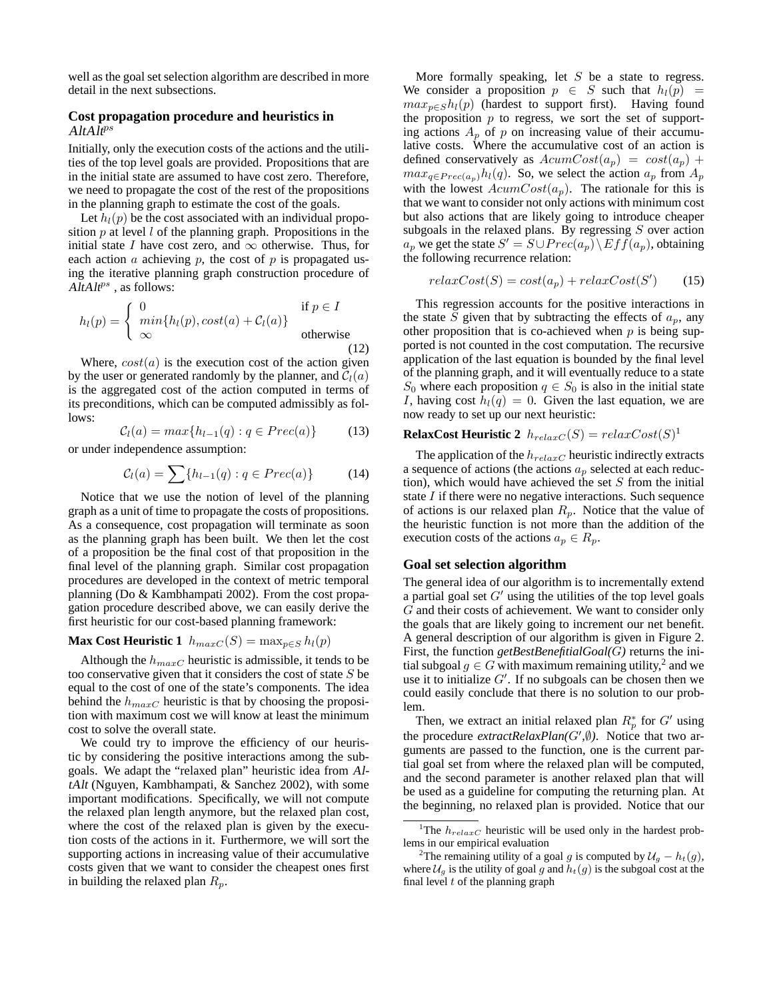well as the goal set selection algorithm are described in more detail in the next subsections.

### **Cost propagation procedure and heuristics in**  $AltAlt^{ps}$

Initially, only the execution costs of the actions and the utilities of the top level goals are provided. Propositions that are in the initial state are assumed to have cost zero. Therefore, we need to propagate the cost of the rest of the propositions in the planning graph to estimate the cost of the goals.

Let  $h_l(p)$  be the cost associated with an individual proposition  $p$  at level  $l$  of the planning graph. Propositions in the initial state I have cost zero, and  $\infty$  otherwise. Thus, for each action a achieving  $p$ , the cost of  $p$  is propagated using the iterative planning graph construction procedure of  $AltAlt<sup>ps</sup>$ , as follows:

$$
h_l(p) = \begin{cases} 0 & \text{if } p \in I \\ \min\{h_l(p), \text{cost}(a) + C_l(a)\} & \text{otherwise} \\ \infty & (12) \end{cases}
$$

Where,  $cost(a)$  is the execution cost of the action given by the user or generated randomly by the planner, and  $C_l(a)$ is the aggregated cost of the action computed in terms of its preconditions, which can be computed admissibly as follows:

$$
\mathcal{C}_l(a) = \max\{h_{l-1}(q) : q \in \mathit{Prec}(a)\}\tag{13}
$$

or under independence assumption:

$$
C_l(a) = \sum \{h_{l-1}(q) : q \in \operatorname{Prec}(a)\} \tag{14}
$$

Notice that we use the notion of level of the planning graph as a unit of time to propagate the costs of propositions. As a consequence, cost propagation will terminate as soon as the planning graph has been built. We then let the cost of a proposition be the final cost of that proposition in the final level of the planning graph. Similar cost propagation procedures are developed in the context of metric temporal planning (Do & Kambhampati 2002). From the cost propagation procedure described above, we can easily derive the first heuristic for our cost-based planning framework:

**Max Cost Heuristic 1**  $h_{maxC}(S) = \max_{p \in S} h_l(p)$ 

Although the  $h_{maxC}$  heuristic is admissible, it tends to be too conservative given that it considers the cost of state  $S$  be equal to the cost of one of the state's components. The idea behind the  $h_{maxC}$  heuristic is that by choosing the proposition with maximum cost we will know at least the minimum cost to solve the overall state.

We could try to improve the efficiency of our heuristic by considering the positive interactions among the subgoals. We adapt the "relaxed plan" heuristic idea from AltAlt (Nguyen, Kambhampati, & Sanchez 2002), with some important modifications. Specifically, we will not compute the relaxed plan length anymore, but the relaxed plan cost, where the cost of the relaxed plan is given by the execution costs of the actions in it. Furthermore, we will sort the supporting actions in increasing value of their accumulative costs given that we want to consider the cheapest ones first in building the relaxed plan  $R_p$ .

More formally speaking, let  $S$  be a state to regress. We consider a proposition  $p \in S$  such that  $h_l(p)$  =  $max_{p \in Sh}$ [p] (hardest to support first). Having found the proposition  $p$  to regress, we sort the set of supporting actions  $A_p$  of p on increasing value of their accumulative costs. Where the accumulative cost of an action is defined conservatively as  $AcumCost(a_p) = cost(a_p) +$  $max_{q \in Prec(a_p)} h_l(q)$ . So, we select the action  $a_p$  from  $A_p$ with the lowest  $AcumCost(a_n)$ . The rationale for this is that we want to consider not only actions with minimum cost but also actions that are likely going to introduce cheaper subgoals in the relaxed plans. By regressing  $S$  over action  $a_p$  we get the state  $S' = S \cup Prec(a_p) \setminus Eff(a_p)$ , obtaining the following recurrence relation:

$$
relaxCost(S) = cost(a_p) + relaxCost(S')
$$
 (15)

This regression accounts for the positive interactions in the state  $S$  given that by subtracting the effects of  $a_p$ , any other proposition that is co-achieved when  $p$  is being supported is not counted in the cost computation. The recursive application of the last equation is bounded by the final level of the planning graph, and it will eventually reduce to a state  $S_0$  where each proposition  $q \in S_0$  is also in the initial state *I*, having cost  $h_l(q) = 0$ . Given the last equation, we are now ready to set up our next heuristic:

## **RelaxCost Heuristic 2**  $h_{relaxC}(S) = relaxCost(S)^{1}$

The application of the  $h_{relaxC}$  heuristic indirectly extracts a sequence of actions (the actions  $a_p$  selected at each reduction), which would have achieved the set  $S$  from the initial state  $I$  if there were no negative interactions. Such sequence of actions is our relaxed plan  $R_p$ . Notice that the value of the heuristic function is not more than the addition of the execution costs of the actions  $a_p \in R_p$ .

#### **Goal set selection algorithm**

The general idea of our algorithm is to incrementally extend a partial goal set  $G'$  using the utilities of the top level goals G and their costs of achievement. We want to consider only the goals that are likely going to increment our net benefit. A general description of our algorithm is given in Figure 2. First, the function *getBestBenefitialGoal(*G*)* returns the initial subgoal  $g \in G$  with maximum remaining utility,<sup>2</sup> and we use it to initialize  $G'$ . If no subgoals can be chosen then we could easily conclude that there is no solution to our problem.

Then, we extract an initial relaxed plan  $R_p^*$  for  $G'$  using the procedure *extractRelaxPlan(G',®*). Notice that two arguments are passed to the function, one is the current partial goal set from where the relaxed plan will be computed, and the second parameter is another relaxed plan that will be used as a guideline for computing the returning plan. At the beginning, no relaxed plan is provided. Notice that our

<sup>&</sup>lt;sup>1</sup>The  $h_{relaxC}$  heuristic will be used only in the hardest problems in our empirical evaluation

<sup>&</sup>lt;sup>2</sup>The remaining utility of a goal g is computed by  $\mathcal{U}_q - h_t(g)$ , where  $\mathcal{U}_q$  is the utility of goal g and  $h_t(g)$  is the subgoal cost at the final level  $t$  of the planning graph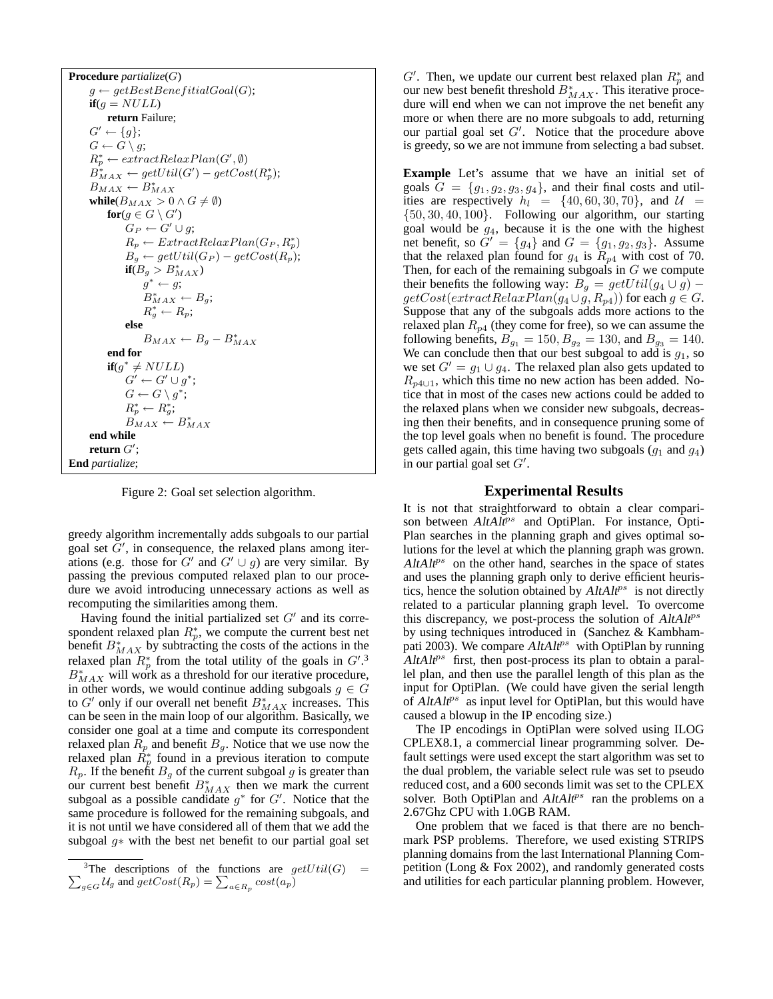| <b>Procedure</b> <i>partialize</i> ( $G$ )            |
|-------------------------------------------------------|
| $g \leftarrow getBestBenefitialGoal(G);$              |
| $if(q = NULL)$                                        |
| return Failure;                                       |
| $G' \leftarrow \{q\}$                                 |
| $G \leftarrow G \setminus a$                          |
| $R_p^* \leftarrow extractRelaxPlan(G', \emptyset)$    |
| $B_{MAX}^* \leftarrow getUtil(G') - getCost(R_p^*)$ ; |
| $B_{MAX} \leftarrow B_{MAX}^*$                        |
| while $(B_{MAX} > 0 \land G \neq \emptyset)$          |
| for $(q \in G \setminus G')$                          |
| $G_P \leftarrow G' \cup g$                            |
| $R_n \leftarrow ExtractRelaxPlan(G_P, R_n^*)$         |
| $B_q \leftarrow getUtil(G_P) - getCost(R_p);$         |
| $\textbf{if}(B_a > B_{MAX}^*)$                        |
| $q^* \leftarrow q$ ;                                  |
| $B_{MAX}^* \leftarrow B_o;$                           |
| $R_a^* \leftarrow R_n$                                |
| else                                                  |
| $B_{MAX} \leftarrow B_q - B_{MAX}^*$                  |
| end for                                               |
| $if(q^* \neq NULL)$                                   |
| $G' \leftarrow G' \cup a^*$                           |
| $G \leftarrow G \setminus q^*$ ;                      |
| $R_p^* \leftarrow R_q^*$ ;                            |
| $B_{MAX} \leftarrow B_{MAX}^*$                        |
| end while                                             |
| return $G'$ :                                         |
| End partialize;                                       |

Figure 2: Goal set selection algorithm.

greedy algorithm incrementally adds subgoals to our partial goal set  $\tilde{G}'$ , in consequence, the relaxed plans among iterations (e.g. those for  $G'$  and  $G' \cup g$ ) are very similar. By passing the previous computed relaxed plan to our procedure we avoid introducing unnecessary actions as well as recomputing the similarities among them.

Having found the initial partialized set  $G'$  and its correspondent relaxed plan  $R_p^*$ , we compute the current best net benefit  $B^*_{MAX}$  by subtracting the costs of the actions in the relaxed plan  $R_p^*$  from the total utility of the goals in  $G^{\prime}$ .<sup>3</sup>  $B_{MAX}^*$  will work as a threshold for our iterative procedure, in other words, we would continue adding subgoals  $g \in G$ to  $G'$  only if our overall net benefit  $B^*_{MAX}$  increases. This can be seen in the main loop of our algorithm. Basically, we consider one goal at a time and compute its correspondent relaxed plan  $R_p$  and benefit  $B_q$ . Notice that we use now the relaxed plan  $\overline{R}_{p}^{*}$  found in a previous iteration to compute  $R_p$ . If the benefit  $B_q$  of the current subgoal g is greater than our current best benefit  $B_{MAX}^*$  then we mark the current subgoal as a possible candidate  $g^*$  for  $G'$ . Notice that the same procedure is followed for the remaining subgoals, and it is not until we have considered all of them that we add the subgoal g∗ with the best net benefit to our partial goal set

G'. Then, we update our current best relaxed plan  $R_p^*$  and our new best benefit threshold  $B^*_{MAX}$ . This iterative procedure will end when we can not improve the net benefit any more or when there are no more subgoals to add, returning our partial goal set  $G'$ . Notice that the procedure above is greedy, so we are not immune from selecting a bad subset.

**Example** Let's assume that we have an initial set of goals  $G = \{g_1, g_2, g_3, g_4\}$ , and their final costs and utilities are respectively  $h_l = \{40, 60, 30, 70\}$ , and  $\mathcal{U} =$ {50, 30, 40, 100}. Following our algorithm, our starting goal would be  $g_4$ , because it is the one with the highest net benefit, so  $G' = \{g_4\}$  and  $G = \{g_1, g_2, g_3\}$ . Assume that the relaxed plan found for  $g_4$  is  $R_{p4}$  with cost of 70. Then, for each of the remaining subgoals in  $G$  we compute their benefits the following way:  $B_g = getUtil(g_4 \cup g)$  –  $getCost(extractRelaxPlan(g_4 \cup g, R_{p4}))$  for each  $g \in G$ . Suppose that any of the subgoals adds more actions to the relaxed plan  $R_{p4}$  (they come for free), so we can assume the following benefits,  $B_{g_1} = 150, B_{g_2} = 130$ , and  $B_{g_3} = 140$ . We can conclude then that our best subgoal to add is  $g_1$ , so we set  $G' = g_1 \cup g_4$ . The relaxed plan also gets updated to  $R_{p4\cup 1}$ , which this time no new action has been added. Notice that in most of the cases new actions could be added to the relaxed plans when we consider new subgoals, decreasing then their benefits, and in consequence pruning some of the top level goals when no benefit is found. The procedure gets called again, this time having two subgoals  $(g_1$  and  $g_4)$ in our partial goal set  $G'$ .

### **Experimental Results**

It is not that straightforward to obtain a clear comparison between AltAlt<sup>ps</sup> and OptiPlan. For instance, Opti-Plan searches in the planning graph and gives optimal solutions for the level at which the planning graph was grown.  $AltAlt^{ps}$  on the other hand, searches in the space of states and uses the planning graph only to derive efficient heuristics, hence the solution obtained by AltAlt<sup>ps</sup> is not directly related to a particular planning graph level. To overcome this discrepancy, we post-process the solution of AltAlt<sup>ps</sup> by using techniques introduced in (Sanchez & Kambhampati 2003). We compare AltAlt<sup>ps</sup> with OptiPlan by running  $AltAlt^{ps}$  first, then post-process its plan to obtain a parallel plan, and then use the parallel length of this plan as the input for OptiPlan. (We could have given the serial length of  $AltAlt^{ps}$  as input level for OptiPlan, but this would have caused a blowup in the IP encoding size.)

The IP encodings in OptiPlan were solved using ILOG CPLEX8.1, a commercial linear programming solver. Default settings were used except the start algorithm was set to the dual problem, the variable select rule was set to pseudo reduced cost, and a 600 seconds limit was set to the CPLEX solver. Both OptiPlan and  $AltAlt^{ps}$  ran the problems on a 2.67Ghz CPU with 1.0GB RAM.

One problem that we faced is that there are no benchmark PSP problems. Therefore, we used existing STRIPS planning domains from the last International Planning Competition (Long & Fox 2002), and randomly generated costs and utilities for each particular planning problem. However,

<sup>&</sup>lt;sup>3</sup>The descriptions of the functions are  $getUtil(G)$  =  $\sum_{g\in G}\mathcal{U}_g$  and  $getCost(R_p)=\sum_{a\in R_p} cost(a_p)$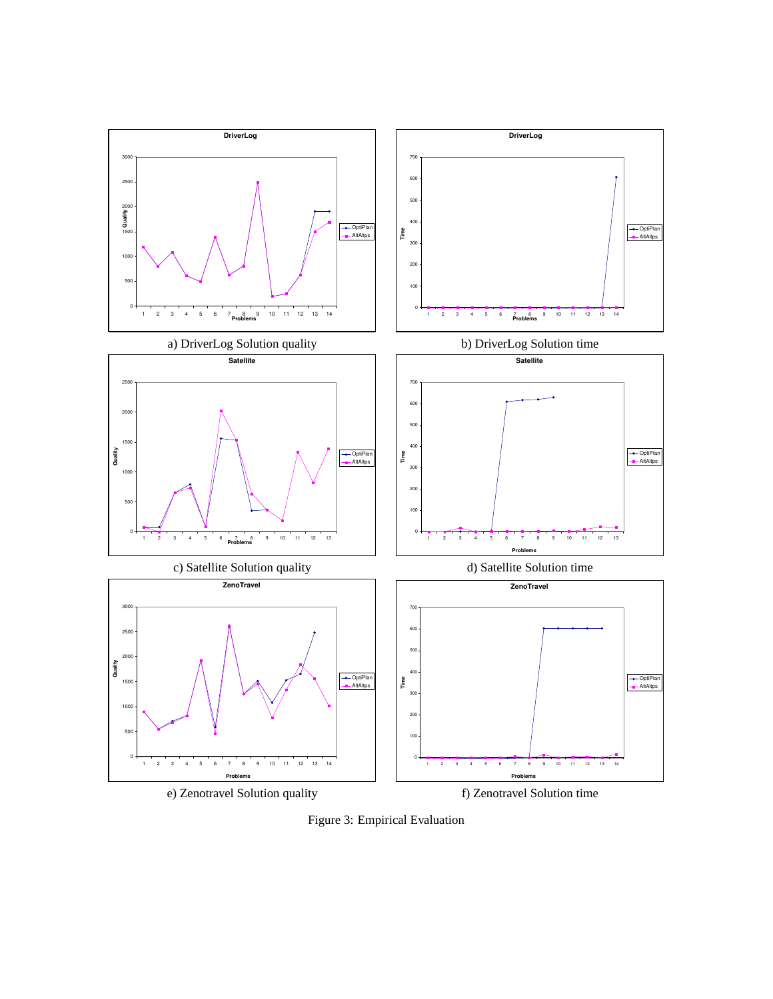

Figure 3: Empirical Evaluation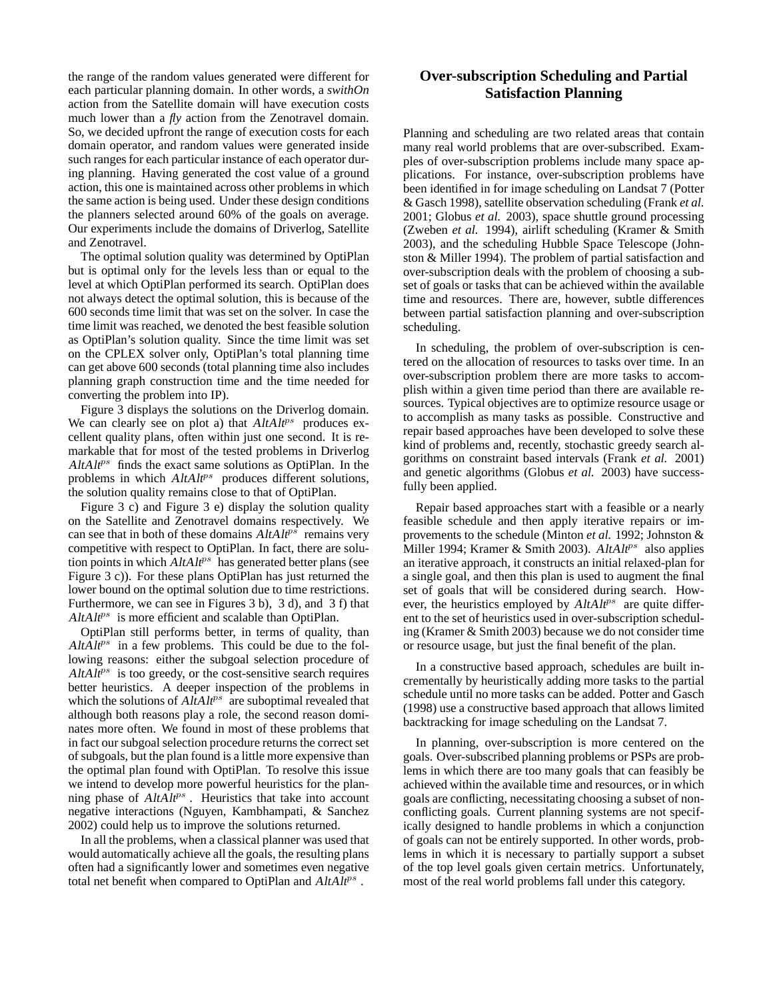the range of the random values generated were different for each particular planning domain. In other words, a *swithOn* action from the Satellite domain will have execution costs much lower than a *fly* action from the Zenotravel domain. So, we decided upfront the range of execution costs for each domain operator, and random values were generated inside such ranges for each particular instance of each operator during planning. Having generated the cost value of a ground action, this one is maintained across other problems in which the same action is being used. Under these design conditions the planners selected around 60% of the goals on average. Our experiments include the domains of Driverlog, Satellite and Zenotravel.

The optimal solution quality was determined by OptiPlan but is optimal only for the levels less than or equal to the level at which OptiPlan performed its search. OptiPlan does not always detect the optimal solution, this is because of the 600 seconds time limit that was set on the solver. In case the time limit was reached, we denoted the best feasible solution as OptiPlan's solution quality. Since the time limit was set on the CPLEX solver only, OptiPlan's total planning time can get above 600 seconds (total planning time also includes planning graph construction time and the time needed for converting the problem into IP).

Figure 3 displays the solutions on the Driverlog domain. We can clearly see on plot a) that  $AltAlt^{ps}$  produces excellent quality plans, often within just one second. It is remarkable that for most of the tested problems in Driverlog  $AltAlt^{ps}$  finds the exact same solutions as OptiPlan. In the problems in which AltAlt<sup>ps</sup> produces different solutions, the solution quality remains close to that of OptiPlan.

Figure 3 c) and Figure 3 e) display the solution quality on the Satellite and Zenotravel domains respectively. We can see that in both of these domains  $AltAlt^{ps}$  remains very competitive with respect to OptiPlan. In fact, there are solution points in which  $AltAlt^{ps}$  has generated better plans (see Figure 3 c)). For these plans OptiPlan has just returned the lower bound on the optimal solution due to time restrictions. Furthermore, we can see in Figures 3 b), 3 d), and 3 f) that  $AltAlt^{ps}$  is more efficient and scalable than OptiPlan.

OptiPlan still performs better, in terms of quality, than  $AltA1t^{ps}$  in a few problems. This could be due to the following reasons: either the subgoal selection procedure of  $AltAlt^{ps}$  is too greedy, or the cost-sensitive search requires better heuristics. A deeper inspection of the problems in which the solutions of  $AltAlt^{ps}$  are suboptimal revealed that although both reasons play a role, the second reason dominates more often. We found in most of these problems that in fact our subgoal selection procedure returns the correct set of subgoals, but the plan found is a little more expensive than the optimal plan found with OptiPlan. To resolve this issue we intend to develop more powerful heuristics for the planning phase of AltAlt<sup>ps</sup>. Heuristics that take into account negative interactions (Nguyen, Kambhampati, & Sanchez 2002) could help us to improve the solutions returned.

In all the problems, when a classical planner was used that would automatically achieve all the goals, the resulting plans often had a significantly lower and sometimes even negative total net benefit when compared to OptiPlan and  $AltAlt^{ps}$ .

# **Over-subscription Scheduling and Partial Satisfaction Planning**

Planning and scheduling are two related areas that contain many real world problems that are over-subscribed. Examples of over-subscription problems include many space applications. For instance, over-subscription problems have been identified in for image scheduling on Landsat 7 (Potter & Gasch 1998), satellite observation scheduling (Frank *et al.* 2001; Globus *et al.* 2003), space shuttle ground processing (Zweben *et al.* 1994), airlift scheduling (Kramer & Smith 2003), and the scheduling Hubble Space Telescope (Johnston & Miller 1994). The problem of partial satisfaction and over-subscription deals with the problem of choosing a subset of goals or tasks that can be achieved within the available time and resources. There are, however, subtle differences between partial satisfaction planning and over-subscription scheduling.

In scheduling, the problem of over-subscription is centered on the allocation of resources to tasks over time. In an over-subscription problem there are more tasks to accomplish within a given time period than there are available resources. Typical objectives are to optimize resource usage or to accomplish as many tasks as possible. Constructive and repair based approaches have been developed to solve these kind of problems and, recently, stochastic greedy search algorithms on constraint based intervals (Frank *et al.* 2001) and genetic algorithms (Globus *et al.* 2003) have successfully been applied.

Repair based approaches start with a feasible or a nearly feasible schedule and then apply iterative repairs or improvements to the schedule (Minton *et al.* 1992; Johnston & Miller 1994; Kramer & Smith 2003). AltAlt<sup>ps</sup> also applies an iterative approach, it constructs an initial relaxed-plan for a single goal, and then this plan is used to augment the final set of goals that will be considered during search. However, the heuristics employed by  $AltAlt^{ps}$  are quite different to the set of heuristics used in over-subscription scheduling (Kramer & Smith 2003) because we do not consider time or resource usage, but just the final benefit of the plan.

In a constructive based approach, schedules are built incrementally by heuristically adding more tasks to the partial schedule until no more tasks can be added. Potter and Gasch (1998) use a constructive based approach that allows limited backtracking for image scheduling on the Landsat 7.

In planning, over-subscription is more centered on the goals. Over-subscribed planning problems or PSPs are problems in which there are too many goals that can feasibly be achieved within the available time and resources, or in which goals are conflicting, necessitating choosing a subset of nonconflicting goals. Current planning systems are not specifically designed to handle problems in which a conjunction of goals can not be entirely supported. In other words, problems in which it is necessary to partially support a subset of the top level goals given certain metrics. Unfortunately, most of the real world problems fall under this category.